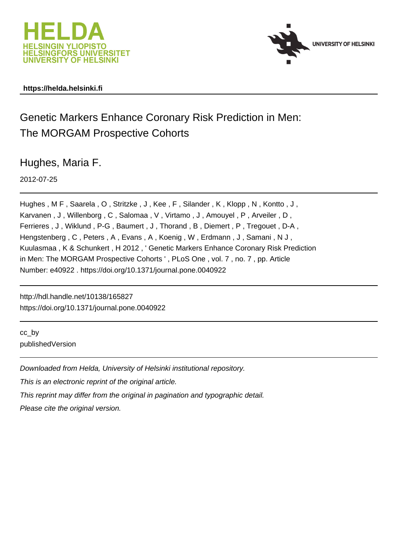



# **https://helda.helsinki.fi**

# Genetic Markers Enhance Coronary Risk Prediction in Men: The MORGAM Prospective Cohorts

Hughes, Maria F.

2012-07-25

Hughes, M F, Saarela, O, Stritzke, J, Kee, F, Silander, K, Klopp, N, Kontto, J, Karvanen , J , Willenborg , C , Salomaa , V , Virtamo , J , Amouyel , P , Arveiler , D , Ferrieres , J , Wiklund , P-G , Baumert , J , Thorand , B , Diemert , P , Tregouet , D-A , Hengstenberg , C , Peters , A , Evans , A , Koenig , W , Erdmann , J , Samani , N J , Kuulasmaa , K & Schunkert , H 2012 , ' Genetic Markers Enhance Coronary Risk Prediction in Men: The MORGAM Prospective Cohorts ' , PLoS One , vol. 7 , no. 7 , pp. Article Number: e40922 . https://doi.org/10.1371/journal.pone.0040922

http://hdl.handle.net/10138/165827 https://doi.org/10.1371/journal.pone.0040922

cc\_by publishedVersion

Downloaded from Helda, University of Helsinki institutional repository.

This is an electronic reprint of the original article.

This reprint may differ from the original in pagination and typographic detail.

Please cite the original version.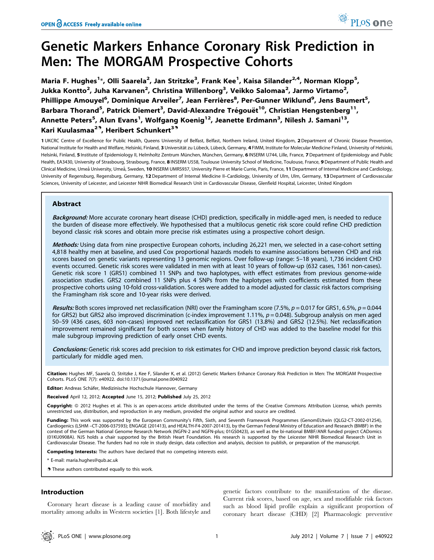# Genetic Markers Enhance Coronary Risk Prediction in Men: The MORGAM Prospective Cohorts

Maria F. Hughes<sup>1</sup>\*, Olli Saarela<sup>2</sup>, Jan Stritzke<sup>3</sup>, Frank Kee<sup>1</sup>, Kaisa Silander<sup>2,4</sup>, Norman Klopp<sup>5</sup>, Jukka Kontto<sup>2</sup>, Juha Karvanen<sup>2</sup>, Christina Willenborg<sup>3</sup>, Veikko Salomaa<sup>2</sup>, Jarmo Virtamo<sup>2</sup>, Phillippe Amouyel<sup>6</sup>, Dominique Arveiler<sup>7</sup>, Jean Ferrières<sup>8</sup>, Per-Gunner Wiklund<sup>9</sup>, Jens Baumert<sup>5</sup>, Barbara Thorand<sup>5</sup>, Patrick Diemert<sup>3</sup>, David-Alexandre Trégouët<sup>10</sup>, Christian Hengstenberg<sup>11</sup>, Annette Peters<sup>5</sup>, Alun Evans<sup>1</sup>, Wolfgang Koenig<sup>12</sup>, Jeanette Erdmann<sup>3</sup>, Nilesh J. Samani<sup>13</sup>, Kari Kuulasmaa<sup>29</sup>, Heribert Schunkert<sup>39</sup>

1 UKCRC Centre of Excellence for Public Health, Queens University of Belfast, Belfast, Northern Ireland, United Kingdom, 2Department of Chronic Disease Prevention, National Institute for Health and Welfare, Helsinki, Finland, 3 Universität zu Lübeck, Lübeck, Germany, 4 FIMM, Institute for Molecular Medicine Finland, University of Helsinki, Helsinki, Finland, 5 Institute of Epidemiology II, Helmholtz Zentrum München, München, Germany, 6 INSERM U744, Lille, France, 7 Department of Epidemiology and Public Health, EA3430, University of Strasbourg, Strasbourg, France, 8 INSERM U558, Toulouse University School of Medicine, Toulouse, France, 9 Department of Public Health and Clinical Medicine, Umeå University, Umeå, Sweden, 10 INSERM UMRS937, University Pierre et Marie Currie, Paris, France, 11 Department of Internal Medicine and Cardiology, University of Regensburg, Regensburg, Germany, 12Department of Internal Medicine II–Cardiology, University of Ulm, Ulm, Germany, 13Department of Cardiovascular Sciences, University of Leicester, and Leicester NIHR Biomedical Research Unit in Cardiovascular Disease, Glenfield Hospital, Leicester, United Kingdom

# Abstract

Background: More accurate coronary heart disease (CHD) prediction, specifically in middle-aged men, is needed to reduce the burden of disease more effectively. We hypothesised that a multilocus genetic risk score could refine CHD prediction beyond classic risk scores and obtain more precise risk estimates using a prospective cohort design.

Methods: Using data from nine prospective European cohorts, including 26,221 men, we selected in a case-cohort setting 4,818 healthy men at baseline, and used Cox proportional hazards models to examine associations between CHD and risk scores based on genetic variants representing 13 genomic regions. Over follow-up (range: 5–18 years), 1,736 incident CHD events occurred. Genetic risk scores were validated in men with at least 10 years of follow-up (632 cases, 1361 non-cases). Genetic risk score 1 (GRS1) combined 11 SNPs and two haplotypes, with effect estimates from previous genome-wide association studies. GRS2 combined 11 SNPs plus 4 SNPs from the haplotypes with coefficients estimated from these prospective cohorts using 10-fold cross-validation. Scores were added to a model adjusted for classic risk factors comprising the Framingham risk score and 10-year risks were derived.

Results: Both scores improved net reclassification (NRI) over the Framingham score (7.5%,  $p = 0.017$  for GRS1, 6.5%,  $p = 0.044$ for GRS2) but GRS2 also improved discrimination (c-index improvement 1.11%,  $p = 0.048$ ). Subgroup analysis on men aged 50–59 (436 cases, 603 non-cases) improved net reclassification for GRS1 (13.8%) and GRS2 (12.5%). Net reclassification improvement remained significant for both scores when family history of CHD was added to the baseline model for this male subgroup improving prediction of early onset CHD events.

Conclusions: Genetic risk scores add precision to risk estimates for CHD and improve prediction beyond classic risk factors, particularly for middle aged men.

Citation: Hughes MF, Saarela O, Stritzke J, Kee F, Silander K, et al. (2012) Genetic Markers Enhance Coronary Risk Prediction in Men: The MORGAM Prospective Cohorts. PLoS ONE 7(7): e40922. doi:10.1371/journal.pone.0040922

Editor: Andreas Schäfer, Medizinische Hochschule Hannover, Germany

Received April 12, 2012; Accepted June 15, 2012; Published July 25, 2012

Copyright: © 2012 Hughes et al. This is an open-access article distributed under the terms of the Creative Commons Attribution License, which permits unrestricted use, distribution, and reproduction in any medium, provided the original author and source are credited.

Funding: This work was supported by the European Community's Fifth, Sixth, and Seventh Framework Programmes (GenomEUtwin (QLG2-CT-2002-01254), Cardiogenics (LSHM –CT-2006-037593); ENGAGE (201413), and HEALTH-F4-2007-201413), by the German Federal Ministry of Education and Research (BMBF) in the context of the German National Genome Research Network (NGFN-2 and NGFN-plus; 01GS0423), as well as the bi-national BMBF/ANR funded project CADomics (01KU0908A). NJS holds a chair supported by the British Heart Foundation. His research is supported by the Leicester NIHR Biomedical Research Unit in Cardiovascular Disease. The funders had no role in study design, data collection and analysis, decision to publish, or preparation of the manuscript.

Competing Interests: The authors have declared that no competing interests exist.

\* E-mail: maria.hughes@qub.ac.uk

**.** These authors contributed equally to this work.

# Introduction

Coronary heart disease is a leading cause of morbidity and mortality among adults in Western societies [1]. Both lifestyle and

genetic factors contribute to the manifestation of the disease. Current risk scores, based on age, sex and modifiable risk factors such as blood lipid profile explain a significant proportion of coronary heart disease (CHD) [2] Pharmacologic preventive

PLoS one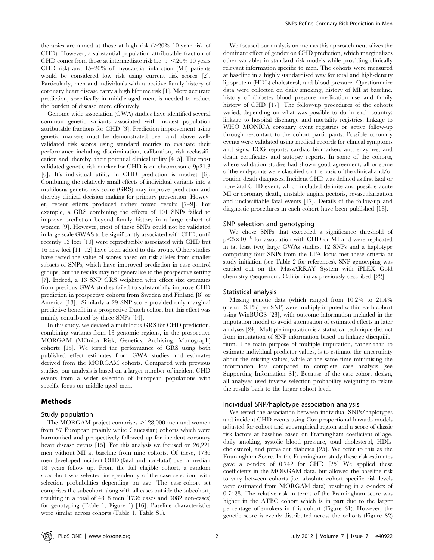therapies are aimed at those at high risk  $(>20\%$  10-year risk of CHD). However, a substantial population attributable fraction of CHD comes from those at intermediate risk (i.e.  $5 - \leq 20\%$  10 years CHD risk) and 15–20% of myocardial infarction (MI) patients would be considered low risk using current risk scores [2]. Particularly, men and individuals with a positive family history of coronary heart disease carry a high lifetime risk [1]. More accurate prediction, specifically in middle-aged men, is needed to reduce the burden of disease more effectively.

Genome wide association (GWA) studies have identified several common genetic variants associated with modest population attributable fractions for CHD [3]. Prediction improvement using genetic markers must be demonstrated over and above wellvalidated risk scores using standard metrics to evaluate their performance including discrimination, calibration, risk reclassification and, thereby, their potential clinical utility [4–5]. The most validated genetic risk marker for CHD is on chromosome 9p21.3 [6]. It's individual utility in CHD prediction is modest [6]. Combining the relatively small effects of individual variants into a multilocus genetic risk score (GRS) may improve prediction and thereby clinical decision-making for primary prevention. However, recent efforts produced rather mixed results [7–9]. For example, a GRS combining the effects of 101 SNPs failed to improve prediction beyond family history in a large cohort of women [9]. However, most of these SNPs could not be validated in large scale GWAS to be significantly associated with CHD, until recently 13 loci [10] were reproducibly associated with CHD but 16 new loci [11–12] have been added to this group. Other studies have tested the value of scores based on risk alleles from smaller subsets of SNPs, which have improved prediction in case-control groups, but the results may not generalise to the prospective setting [7]. Indeed, a 13 SNP GRS weighted with effect size estimates from previous GWA studies failed to substantially improve CHD prediction in prospective cohorts from Sweden and Finland [8] or America [13].. Similarly a 29 SNP score provided only marginal predictive benefit in a prospective Dutch cohort but this effect was mainly contributed by three SNPs [14].

In this study, we devised a multilocus GRS for CHD prediction, combining variants from 13 genomic regions, in the prospective MORGAM (MOnica Risk, Genetics, Archiving, Monograph) cohorts [15]. We tested the performance of GRS using both published effect estimates from GWA studies and estimates derived from the MORGAM cohorts. Compared with previous studies, our analysis is based on a larger number of incident CHD events from a wider selection of European populations with specific focus on middle aged men.

### Methods

#### Study population

The MORGAM project comprises  $>128,000$  men and women from 57 European (mainly white Caucasian) cohorts which were harmonised and prospectively followed up for incident coronary heart disease events [15]. For this analysis we focused on 26,221 men without MI at baseline from nine cohorts. Of these, 1736 men developed incident CHD (fatal and non-fatal) over a median 18 years follow up. From the full eligible cohort, a random subcohort was selected independently of the case selection, with selection probabilities depending on age. The case-cohort set comprises the subcohort along with all cases outside the subcohort, resulting in a total of 4818 men (1736 cases and 3082 non-cases) for genotyping (Table 1, Figure 1) [16]. Baseline characteristics were similar across cohorts (Table 1, Table S1).

We focused our analysis on men as this approach neutralizes the dominant effect of gender on CHD prediction, which marginalizes other variables in standard risk models while providing clinically relevant information specific to men. The cohorts were measured at baseline in a highly standardised way for total and high-density lipoprotein (HDL) cholesterol, and blood pressure. Questionnaire data were collected on daily smoking, history of MI at baseline, history of diabetes blood pressure medication use and family history of CHD [17]. The follow-up procedures of the cohorts varied, depending on what was possible to do in each country: linkage to hospital discharge and mortality registries, linkage to WHO MONICA coronary event registries or active follow-up through re-contact to the cohort participants. Possible coronary events were validated using medical records for clinical symptoms and signs, ECG reports, cardiac biomarkers and enzymes, and death certificates and autopsy reports. In some of the cohorts, where validation studies had shown good agreement, all or some of the end-points were classified on the basis of the clinical and/or routine death diagnoses. Incident CHD was defined as first fatal or non-fatal CHD event, which included definite and possible acute MI or coronary death, unstable angina pectoris, revascularization and unclassifiable fatal events [17]. Details of the follow-up and diagnostic procedures in each cohort have been published [18].

#### SNP selection and genotyping

We chose SNPs that exceeded a significance threshold of  $p<5\times10^{-8}$  for association with CHD or MI and were replicated in (at least two) large GWAs studies. 12 SNPs and a haplotype comprising four SNPs from the LPA locus met these criteria at study initiation (see Table 2 for references). SNP genotyping was carried out on the MassARRAY System with iPLEX Gold chemistry (Sequenom, California) as previously described [22].

#### Statistical analysis

Missing genetic data (which ranged from 10.2% to 21.4% (mean 13.1%) per SNP) were multiply imputed within each cohort using WinBUGS [23], with outcome information included in the imputation model to avoid attenuation of estimated effects in later analyses [24]. Multiple imputation is a statistical technique distinct from imputation of SNP information based on linkage disequilibrium. The main purpose of multiple imputation, rather than to estimate individual predictor values, is to estimate the uncertainty about the missing values, while at the same time minimising the information loss compared to complete case analysis (see Supporting Information S1). Because of the case-cohort design, all analyses used inverse selection probability weighting to relate the results back to the larger cohort level.

## Individual SNP/haplotype association analysis

We tested the association between individual SNPs/haplotypes and incident CHD events using Cox proportional hazards models adjusted for cohort and geographical region and a score of classic risk factors at baseline based on Framingham coefficient of age, daily smoking, systolic blood pressure, total cholesterol, HDLcholesterol, and prevalent diabetes [25]. We refer to this as the Framingham Score. In the Framingham study these risk estimates gave a c-index of 0.742 for CHD [25] We applied these coefficients in the MORGAM data, but allowed the baseline risk to vary between cohorts (i.e. absolute cohort specific risk levels were estimated from MORGAM data), resulting in a c-index of 0.7428. The relative risk in terms of the Framingham score was higher in the ATBC cohort which is in part due to the larger percentage of smokers in this cohort (Figure S1). However, the genetic score is evenly distributed across the cohorts (Figure S2)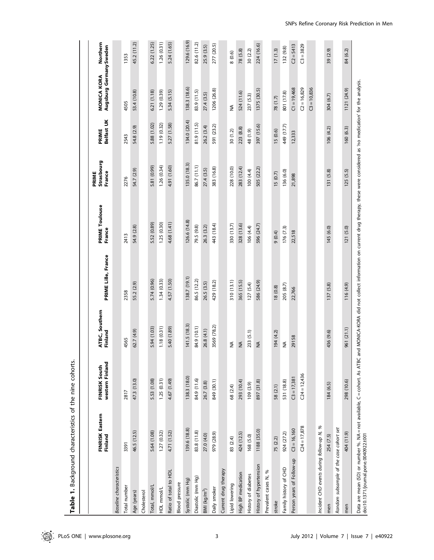|                                                                                                                  | FINRISK Eastern<br>Finland | western Finland<br>FINRISK South | ATBC, Southern<br>Finland | PRIME Lille, France | PRIME Toulouse<br>France                                                                                                        | Strasbourg<br>France<br>PRIME | PRIME<br>Belfast UK | Augsburg Germany Sweden<br>MONICA KORA | Northern     |
|------------------------------------------------------------------------------------------------------------------|----------------------------|----------------------------------|---------------------------|---------------------|---------------------------------------------------------------------------------------------------------------------------------|-------------------------------|---------------------|----------------------------------------|--------------|
| <b>Baseline</b> characteristics                                                                                  |                            |                                  |                           |                     |                                                                                                                                 |                               |                     |                                        |              |
| Total number                                                                                                     | 3391                       | 2817                             | 4565                      | 2358                | 2413                                                                                                                            | 2276                          | 2543                | 4505                                   | 1353         |
| Age (years)                                                                                                      | 46.5 (12.5)                | 47.3 (13.0)                      | 62.7 (4.9)                | 55.2 (2.9)          | 54.9 (2.8)                                                                                                                      | 54.7 (2.9)                    | 54.8 (2.9)          | 53.4 (10.8)                            | 45.2 (11.2)  |
| Cholesterol                                                                                                      |                            |                                  |                           |                     |                                                                                                                                 |                               |                     |                                        |              |
| Total, mmol/L                                                                                                    | 5.64 (1.08)                | 5.53 (1.08)                      | 5.94 (1.03)               | 5.74 (0.96)         | 5.52 (0.89)                                                                                                                     | 5.81 (0.99)                   | 5.88 (1.02)         | 6.21 (1.18)                            | 6.22 (1.25)  |
| HDL mmol/L                                                                                                       | 1.27(0.32)                 | 1.25(0.31)                       | 1.18 (0.31)               | 1.34(0.33)          | 1.25 (0.30)                                                                                                                     | 1.26(0.34)                    | 1.19 (0.32)         | 1.29 (0.39)                            | 1.26(0.31)   |
| Ratio of total to HDL                                                                                            | 4.71 (1.52)                | 4.67 (1.49)                      | 5.40 (1.89)               | 4.57 (1.50)         | 4.68 (1.41)                                                                                                                     | 4.91 (1.60)                   | 5.27 (1.58)         | 5.34 (5.15)                            | 5.24 (1.65)  |
| <b>Blood</b> pressure                                                                                            |                            |                                  |                           |                     |                                                                                                                                 |                               |                     |                                        |              |
| Systolic (mm Hg)                                                                                                 | 139.6 (18.8)               | 138.3 (18.0)                     | 141.5(18.3)               | 138.7 (19.1)        | 126.6 (14.8)                                                                                                                    | 135.0 (18.3)                  | 134.0 (20.4)        | 138.3 (18.6)                           | 129.6 (16.9) |
| Diastolic (mm Hg)                                                                                                | 83.8 (11.8)                | 84.9 (11.6)                      | 84.9 (10.1)               | 86.5 (12.2)         | 79.5 (9.8)                                                                                                                      | 86.7 (11.1)                   | 81.9 (11.5)         | 83.9 (11.5)                            | 82.6 (11.2)  |
| BMI ( $kg/m2$ )                                                                                                  | 27.0 (4.0)                 | 26.7 (3.8)                       | 26.8 (4.1)                | 26.5 (3.5)          | 26.3 (3.2)                                                                                                                      | 27.4(3.5)                     | 26.2 (3.4)          | 27.4 (3.5)                             | 25.9 (3.5)   |
| Daily smoker                                                                                                     | 979 (28.9)                 | 849 (30.1)                       | 3569 (78.2)               | 429 (18.2)          | 443 (18.4)                                                                                                                      | 383 (16.8)                    | 591 (23.2)          | 1206 (26.8)                            | 277 (20.5)   |
| Current drug therapy                                                                                             |                            |                                  |                           |                     |                                                                                                                                 |                               |                     |                                        |              |
| Lipid lowering                                                                                                   | 83 (2.4)                   | 68 (2.4)                         | ≨                         | 310(13.1)           | 330 (13.7)                                                                                                                      | 228 (10.0)                    | 30 (1.2)            | ≨                                      | 8(0.6)       |
| High BP medication                                                                                               | 424 (12.5)                 | 293 (10.4)                       | $\frac{4}{2}$             | 365 (15.5)          | 328 (13.6)                                                                                                                      | 283 (12.4)                    | 223 (8.8)           | 524 (11.6)                             | 78 (5.8)     |
| History of diabetes                                                                                              | 168 (5.0)                  | 109(3.9)                         | 233 (5.1)                 | 127(5.4)            | 106 (4.4)                                                                                                                       | 100 (4.4)                     | 48 (1.9)            | 237 (5.3)                              | 30 (2.2)     |
| History of hypertension                                                                                          | 1188 (35.0)                | 897 (31.8)                       | $\frac{1}{2}$             | 586 (24.9)          | 596 (24.7)                                                                                                                      | 505 (22.2)                    | 397 (15.6)          | 1375 (30.5)                            | 224 (16.6)   |
| Prevalent cases N, %                                                                                             |                            |                                  |                           |                     |                                                                                                                                 |                               |                     |                                        |              |
| stroke                                                                                                           | 75 (2.2)                   | 58 (2.1)                         | 194 (4.2)                 | 18(0.8)             | (0.4)                                                                                                                           | 15(0.7)                       | 15 (0.6)            | 78 (1.7)                               | 17(1.3)      |
| Family history of CHD                                                                                            | 924 (27.2)                 | 531 (18.8)                       | ≸                         | 205 (8.7)           | 176 (7.3)                                                                                                                       | 136 (6.0)                     | 449 (17.7)          | 801 (17.8)                             | 132 (9.8)    |
| Person years of Follow-up                                                                                        | $C3 = 16,160$              | $C3 = 17,381$                    | 29158                     | 22,766              | 22,518                                                                                                                          | 21,898                        | 12,333              | $C1 = 19,468$                          | $C2 = 5413$  |
|                                                                                                                  | $C24 = 17,878$             | $C24 = 12,436$                   |                           |                     |                                                                                                                                 |                               |                     | $C2 = 16,829$                          | $C3 = 3829$  |
|                                                                                                                  |                            |                                  |                           |                     |                                                                                                                                 |                               |                     | $C3 = 10,836$                          |              |
| Incident CHD events during follow-up N, %                                                                        |                            |                                  |                           |                     |                                                                                                                                 |                               |                     |                                        |              |
| men                                                                                                              | 254 (7.5)                  | 184 (6.5)                        | 436 (9.6)                 | 137 (5.8)           | 145 (6.0)                                                                                                                       | 131 (5.8)                     | 106(4.2)            | 304 (6.7)                              | 39 (2.9)     |
| Random subsample of the case cohort set                                                                          |                            |                                  |                           |                     |                                                                                                                                 |                               |                     |                                        |              |
| men                                                                                                              | 404 (11.9)                 | 298 (10.6)                       | 961 (21.1)                | 116 (4.9)           | 121(5.0)                                                                                                                        | 125(5.5)                      | 160 (6.3)           | 1121 (24.9)                            | 84 (6.2)     |
| Data are mean (SD) or number %. NA = not available, C = cohort. As ATBC<br>doi:10.1371/journal.pone.0040922.t001 |                            |                                  |                           |                     | and MONICA-KORA did not collect information on current drug therapy, these were considered as 'no medication' for the analysis. |                               |                     |                                        |              |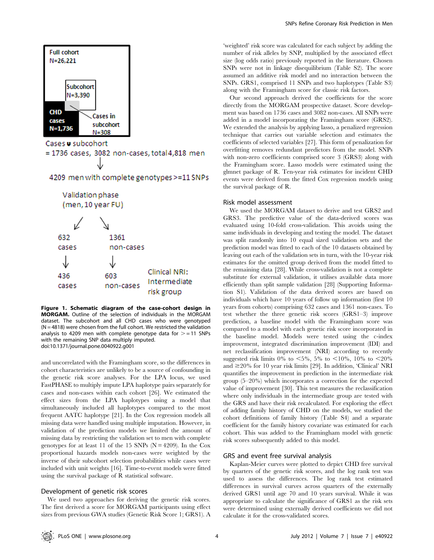

Figure 1. Schematic diagram of the case-cohort design in MORGAM. Outline of the selection of individuals in the MORGAM dataset. The subcohort and all CHD cases who were genotyped  $(N = 4818)$  were chosen from the full cohort. We restricted the validation analysis to 4209 men with complete genotype data for  $> = 11$  SNPs with the remaining SNP data multiply imputed. doi:10.1371/journal.pone.0040922.g001

and uncorrelated with the Framingham score, so the differences in cohort characteristics are unlikely to be a source of confounding in the genetic risk score analyses. For the LPA locus, we used FastPHASE to multiply impute LPA haplotype pairs separately for cases and non-cases within each cohort [26]. We estimated the effect sizes from the LPA haplotypes using a model that simultaneously included all haplotypes compared to the most frequent AATC haplotype [21]. In the Cox regression models all missing data were handled using multiple imputation. However, in validation of the prediction models we limited the amount of missing data by restricting the validation set to men with complete genotypes for at least 11 of the 15 SNPs ( $N = 4209$ ). In the Cox proportional hazards models non-cases were weighted by the inverse of their subcohort selection probabilities while cases were included with unit weights [16]. Time-to-event models were fitted using the survival package of R statistical software.

#### Development of genetic risk scores

We used two approaches for deriving the genetic risk scores. The first derived a score for MORGAM participants using effect sizes from previous GWA studies (Genetic Risk Score 1; GRS1). A

'weighted' risk score was calculated for each subject by adding the number of risk alleles by SNP, multiplied by the associated effect size (log odds ratio) previously reported in the literature. Chosen SNPs were not in linkage disequilibrium (Table S2). The score assumed an additive risk model and no interaction between the SNPs. GRS1, comprised 11 SNPs and two haplotypes (Table S3) along with the Framingham score for classic risk factors.

Our second approach derived the coefficients for the score directly from the MORGAM prospective dataset. Score development was based on 1736 cases and 3082 non-cases. All SNPs were added in a model incorporating the Framingham score (GRS2). We extended the analysis by applying lasso, a penalized regression technique that carries out variable selection and estimates the coefficients of selected variables [27]. This form of penalization for overfitting removes redundant predictors from the model. SNPs with non-zero coefficients comprised score 3 (GRS3) along with the Framingham score. Lasso models were estimated using the glmnet package of R. Ten-year risk estimates for incident CHD events were derived from the fitted Cox regression models using the survival package of R.

#### Risk model assessment

We used the MORGAM dataset to derive and test GRS2 and GRS3. The predictive value of the data-derived scores was evaluated using 10-fold cross-validation. This avoids using the same individuals in developing and testing the model. The dataset was split randomly into 10 equal sized validation sets and the prediction model was fitted to each of the 10 datasets obtained by leaving out each of the validation sets in turn, with the 10-year risk estimates for the omitted group derived from the model fitted to the remaining data [28]. While cross-validation is not a complete substitute for external validation, it utilises available data more efficiently than split sample validation [28] (Supporting Information S1). Validation of the data derived scores are based on individuals which have 10 years of follow up information (first 10 years from cohorts) comprising 632 cases and 1361 non-cases. To test whether the three genetic risk scores (GRS1–3) improve prediction, a baseline model with the Framingham score was compared to a model with each genetic risk score incorporated in the baseline model. Models were tested using the c-index improvement, integrated discrimination improvement (IDI) and net reclassification improvement (NRI) according to recently suggested risk limits 0% to <5%, 5% to <10%, 10% to <20% and  $\geq$  20% for 10 year risk limits [29]. In addition, 'Clinical' NRI quantifies the improvement in prediction in the intermediate risk group (5–20%) which incorporates a correction for the expected value of improvement [30]. This test measures the reclassification where only individuals in the intermediate group are tested with the GRS and have their risk recalculated. For exploring the effect of adding family history of CHD on the models, we studied the cohort definitions of family history (Table S4) and a separate coefficient for the family history covariate was estimated for each cohort. This was added to the Framingham model with genetic risk scores subsequently added to this model.

### GRS and event free survival analysis

Kaplan-Meier curves were plotted to depict CHD free survival by quarters of the genetic risk scores, and the log rank test was used to assess the differences. The log rank test estimated differences in survival curves across quarters of the externally derived GRS1 until age 70 and 10 years survival. While it was appropriate to calculate the significance of GRS1 as the risk sets were determined using externally derived coefficients we did not calculate it for the cross-validated scores.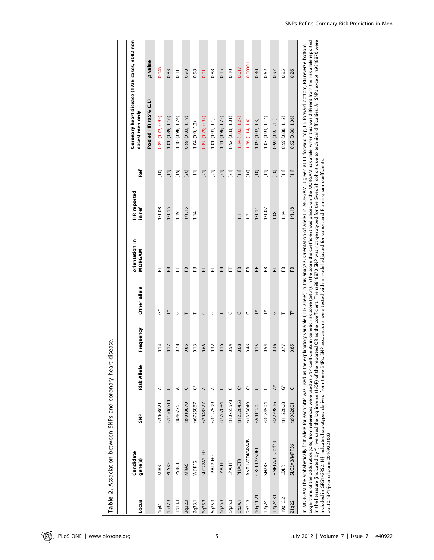|          | Candidate                                                                                                                 |            |             |           |              | orientation in                                                                             | <b>HR</b> reported |                                         | Coronary heart disease (1736 cases, 3082 non                                                                                                                                                                                                                                                                                                                                                                                                                                                                                                                                                                                                                                                     |                  |
|----------|---------------------------------------------------------------------------------------------------------------------------|------------|-------------|-----------|--------------|--------------------------------------------------------------------------------------------|--------------------|-----------------------------------------|--------------------------------------------------------------------------------------------------------------------------------------------------------------------------------------------------------------------------------------------------------------------------------------------------------------------------------------------------------------------------------------------------------------------------------------------------------------------------------------------------------------------------------------------------------------------------------------------------------------------------------------------------------------------------------------------------|------------------|
| Locus    | gene(s)                                                                                                                   | e<br>S     | Risk Allele | Frequency | Other allele | MORGAM                                                                                     | in ref             | <b>Ref</b>                              | cases) men only                                                                                                                                                                                                                                                                                                                                                                                                                                                                                                                                                                                                                                                                                  |                  |
|          |                                                                                                                           |            |             |           |              |                                                                                            |                    |                                         | Pooled HR (95% C.I.)                                                                                                                                                                                                                                                                                                                                                                                                                                                                                                                                                                                                                                                                             | p value          |
| $1$ q41  | MIA <sub>3</sub>                                                                                                          | \$3008621  | ⋖           | 0.14      | ڽ            | ᄂ                                                                                          | 1/1.08             | [10]                                    | 0.85 (0.72, 0.99)                                                                                                                                                                                                                                                                                                                                                                                                                                                                                                                                                                                                                                                                                | 0.045            |
| 1p32.3   | PCSK9                                                                                                                     | rs11206510 | $\cup$      | 0.17      | ř.           | œ                                                                                          | 1/1.15             | $\begin{bmatrix} 11 \\ 1 \end{bmatrix}$ | 1.01 (0.89, 1.16)                                                                                                                                                                                                                                                                                                                                                                                                                                                                                                                                                                                                                                                                                | 0.83             |
| 1p13.3   | <b>PSRC1</b>                                                                                                              | rs646776   | ⋖           | 0.78      | U            | ᄂ                                                                                          | <b>er.1</b>        | $[19]$                                  | 1.10(0.98, 1.24)                                                                                                                                                                                                                                                                                                                                                                                                                                                                                                                                                                                                                                                                                 | $\overline{0}$ . |
| 3q22.3   | <b>MRAS</b>                                                                                                               | rs9818870  | $\cup$      | 0.86      | ⊢            | 岊                                                                                          | 1/1.15             | [20]                                    | 0.99(0.83, 1.19)                                                                                                                                                                                                                                                                                                                                                                                                                                                                                                                                                                                                                                                                                 | 0.98             |
| 2q33.1   | WDR12                                                                                                                     | rs6725887  | ڻ           | 0.13      | H            | 쭌                                                                                          | 1.14               | Ξ                                       | 1.04(0.9, 1.2)                                                                                                                                                                                                                                                                                                                                                                                                                                                                                                                                                                                                                                                                                   | 0.58             |
| 6q25.3   | SLC22A3 H^                                                                                                                | rs2048327  | ⋖           | 0.66      | U            | 는                                                                                          |                    | $[21]$                                  | 0.87(0.79, 0.97)                                                                                                                                                                                                                                                                                                                                                                                                                                                                                                                                                                                                                                                                                 | 0.01             |
| 6q25.3   | LPAL2 H <sup>A</sup>                                                                                                      | rs3127599  | ⋖           | 0.32      | ৩            | ᄂ                                                                                          |                    | $[21]$                                  | 1.01(0.91, 1.1)                                                                                                                                                                                                                                                                                                                                                                                                                                                                                                                                                                                                                                                                                  | 0.88             |
| 6q25.3   | LPA H^                                                                                                                    | rs7767084  | U           | 0.16      | ⊢            | œ                                                                                          |                    | $[21]$                                  | 1.11 (0.96, 1.23)                                                                                                                                                                                                                                                                                                                                                                                                                                                                                                                                                                                                                                                                                | 0.15             |
| 6q25.3   | <b>LPA H^</b>                                                                                                             | rs10755578 | Ü           | 0.54      | U            | 匸                                                                                          |                    | $[21]$                                  | 0.92(0.83, 1.01)                                                                                                                                                                                                                                                                                                                                                                                                                                                                                                                                                                                                                                                                                 | 0.10             |
| 6p24.1   | PHACTR1                                                                                                                   | rs12526453 | ڽ           | 0.68      | G            | EB                                                                                         | $\overline{1}$ .   | $\begin{bmatrix} 1 & 1 \end{bmatrix}$   | 1.14(1.02, 1.27)                                                                                                                                                                                                                                                                                                                                                                                                                                                                                                                                                                                                                                                                                 | 0.017            |
| 9p21.3   | ANRIL/CDKN2A/B                                                                                                            | rs1333049  | ڻ           | 0.46      | U            | æ                                                                                          | $\overline{1}$ .   | $[10]$                                  | 1.26(1.14, 1.4)                                                                                                                                                                                                                                                                                                                                                                                                                                                                                                                                                                                                                                                                                  | 0.0000           |
| 10q11.21 | CXCL12/SDF1                                                                                                               | rs501120   | $\cup$      | 0.15      | ř            | RB                                                                                         | 1/1.11             | $[10]$                                  | 1.09(0.92, 1.3)                                                                                                                                                                                                                                                                                                                                                                                                                                                                                                                                                                                                                                                                                  | 0.30             |
| 12q24    | <b>SH2B3</b>                                                                                                              | rs3184504  | U           | 0.54      | ř.           | œ                                                                                          | 1/1.07             | $\Xi$                                   | 1.03(0.93, 1.14)                                                                                                                                                                                                                                                                                                                                                                                                                                                                                                                                                                                                                                                                                 | 0.62             |
| I2q24.31 | HNF1A/C12orf43                                                                                                            | rs2259816  | $\star$     | 0.36      | G            | 匸                                                                                          | 1.08               | [20]                                    | 0.99(0.9, 1.11)                                                                                                                                                                                                                                                                                                                                                                                                                                                                                                                                                                                                                                                                                  | 0.97             |
| 19p13.2  | LDLR                                                                                                                      | rs1122608  | ڻُ          | 0.77      | ⊢            | œ                                                                                          | 1.14               | $\Xi$                                   | 0.99 (0.88, 1.12)                                                                                                                                                                                                                                                                                                                                                                                                                                                                                                                                                                                                                                                                                | 0.95             |
| 21 q 22  | SLC5A3/MRPS6                                                                                                              | rs9982601  | $\cup$      | 0.85      | ř.           | 岊                                                                                          | 1/1.18             | $\begin{bmatrix} 11 \\ 1 \end{bmatrix}$ | 0.92(0.80, 1.06)                                                                                                                                                                                                                                                                                                                                                                                                                                                                                                                                                                                                                                                                                 | 0.26             |
|          | included in GRS1/GRS2. H $\dagger$ indicates haplotypes derived from these SNPs.<br>doi:10.1371/journal.pone.0040922.t002 |            |             |           |              | SNP associations were tested with a model adjusted for cohort and Framingham coefficients. |                    |                                         | in the literature (indicated by *), we used the log inverse (1/OR) of the reported OR as the coefficient. The rs9818870 SNP was not genotyped for the Swedish cohort due to technical difficulties. All SNPs except rs9818870<br>Logarithms of the odds ratios (ORs) from references were used as SNP coefficients in genetic risk score (GRS1). In the score the coefficient was placed on the MORGAM risk allele; when this was different from the risk allel<br>n MORGAM the alphabetically first allele for each SNP was used as the explanatory variable (risk allele) in this analysis. Orientation of alleles in MORGAM is given as FT forward top, FB forward bottom, RB reverse bottom. |                  |

Table 2. Association between SNPs and coronary heart disease. Table 2. Association between SNPs and coronary heart disease.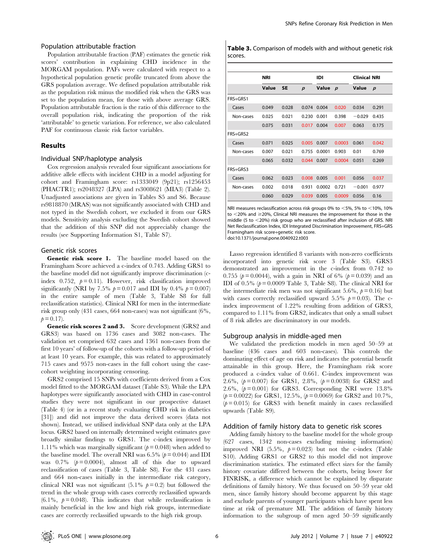#### Population attributable fraction

Population attributable fraction (PAF) estimates the genetic risk scores' contribution in explaining CHD incidence in the MORGAM population. PAFs were calculated with respect to a hypothetical population genetic profile truncated from above the GRS population average. We defined population attributable risk as the population risk minus the modified risk when the GRS was set to the population mean, for those with above average GRS. Population attributable fraction is the ratio of this difference to the overall population risk, indicating the proportion of the risk 'attributable' to genetic variation. For reference, we also calculated PAF for continuous classic risk factor variables.

#### Results

#### Individual SNP/haplotype analysis

Cox regression analysis revealed four significant associations for additive allele effects with incident CHD in a model adjusting for cohort and Framingham score: rs1333049 (9p21); rs1256453 (PHACTR1); rs2048327 (LPA) and rs3008621 (MIA3) (Table 2). Unadjusted associations are given in Tables S5 and S6. Because rs9818870 (MRAS) was not significantly associated with CHD and not typed in the Swedish cohort, we excluded it from our GRS models. Sensitivity analysis excluding the Swedish cohort showed that the addition of this SNP did not appreciably change the results (see Supporting Information S1, Table S7).

## Genetic risk scores

Genetic risk score 1. The baseline model based on the Framingham Score achieved a c-index of 0.743. Adding GRS1 to the baseline model did not significantly improve discrimination (cindex 0.752,  $p = 0.11$ ). However, risk classification improved significantly (NRI by 7.5%  $p = 0.017$  and IDI by 0.4%  $p = 0.007$ ) in the entire sample of men (Table 3, Table S8 for full reclassification statistics). Clinical NRI for men in the intermediate risk group only (431 cases, 664 non-cases) was not significant (6%,  $p = 0.17$ .

Genetic risk scores 2 and 3. Score development (GRS2 and GRS3) was based on 1736 cases and 3082 non-cases. The validation set comprised 632 cases and 1361 non-cases from the first 10 years' of follow-up of the cohorts with a follow-up period of at least 10 years. For example, this was related to approximately 715 cases and 9575 non-cases in the full cohort using the casecohort weighting incorporating censoring.

GRS2 comprised 15 SNPs with coefficients derived from a Cox model fitted to the MORGAM dataset (Table S3). While the LPA haplotypes were significantly associated with CHD in case-control studies they were not significant in our prospective dataset (Table 4) (or in a recent study evaluating CHD risk in diabetics [31]) and did not improve the data derived scores (data not shown). Instead, we utilised individual SNP data only at the LPA locus. GRS2 based on internally determined weight estimates gave broadly similar findings to GRS1. The c-index improved by 1.11% which was marginally significant ( $p = 0.048$ ) when added to the baseline model. The overall NRI was 6.5% ( $p = 0.044$ ) and IDI was  $0.7\%$  ( $p = 0.0004$ ), almost all of this due to upward reclassification of cases (Table 3, Table S8). For the 431 cases and 664 non-cases initially in the intermediate risk category, clinical NRI was not significant (5.1%  $p = 0.2$ ) but followed the trend in the whole group with cases correctly reclassified upwards  $(6.1\%$ ,  $p = 0.048$ ). This indicates that while reclassification is mainly beneficial in the low and high risk groups, intermediate cases are correctly reclassified upwards to the high risk group.

Table 3. Comparison of models with and without genetic risk scores.

|           | <b>NRI</b> |           |                  | IDI    |                  | <b>Clinical NRI</b> |                  |
|-----------|------------|-----------|------------------|--------|------------------|---------------------|------------------|
|           | Value      | <b>SE</b> | $\boldsymbol{p}$ | Value  | $\boldsymbol{p}$ | Value               | $\boldsymbol{p}$ |
| FRS+GRS1  |            |           |                  |        |                  |                     |                  |
| Cases     | 0.049      | 0.028     | 0.074            | 0.004  | 0.020            | 0.034               | 0.291            |
| Non-cases | 0.025      | 0.021     | 0.230            | 0.001  | 0.398            | $-0.029$            | 0.435            |
|           | 0.075      | 0.031     | 0.017            | 0.004  | 0.007            | 0.063               | 0.175            |
| FRS+GRS2  |            |           |                  |        |                  |                     |                  |
| Cases     | 0.071      | 0.025     | 0.005            | 0.007  | 0.0003           | 0.061               | 0.042            |
| Non-cases | 0.007      | 0.021     | 0.755            | 0.0001 | 0.903            | 0.01                | 0.769            |
|           | 0.065      | 0.032     | 0.044            | 0.007  | 0.0004           | 0.051               | 0.269            |
| FRS+GRS3  |            |           |                  |        |                  |                     |                  |
| Cases     | 0.062      | 0.023     | 0.008            | 0.005  | 0.001            | 0.056               | 0.037            |
| Non-cases | 0.002      | 0.018     | 0.931            | 0.0002 | 0.721            | $-0.001$            | 0.977            |
|           | 0.060      | 0.029     | 0.039            | 0.005  | 0.0009           | 0.056               | 0.16             |

NRI measures reclassification across risk groups 0% to  $<$  5%, 5% to  $<$  10%, 10% to  $<$ 20% and  $\ge$ 20%, Clinical NRI measures the improvement for those in the middle (5 to  $<$ 20%) risk group who are reclassified after inclusion of GRS. NRI Net Reclassification Index, IDI Integrated Discrimination Improvement, FRS+GRS Framingham risk score+genetic risk score.

doi:10.1371/journal.pone.0040922.t003

Lasso regression identified 8 variants with non-zero coefficients incorporated into genetic risk score 3 (Table S3). GRS3 demonstrated an improvement in the c-index from 0.742 to 0.755 ( $p = 0.0044$ ), with a gain in NRI of 6% ( $p = 0.039$ ) and an IDI of 0.5% ( $p = 0.0009$  Table 3, Table S8). The clinical NRI for the intermediate risk men was not significant 5.6%,  $p = 0.16$ ) but with cases correctly reclassified upward 5.5%  $p = 0.03$ ). The cindex improvement of 1.22% resulting from addition of GRS3, compared to 1.11% from GRS2, indicates that only a small subset of 8 risk alleles are discriminatory in our models.

### Subgroup analysis in middle-aged men

We validated the prediction models in men aged 50–59 at baseline (436 cases and 603 non-cases). This controls the dominating effect of age on risk and indicates the potential benefit attainable in this group. Here, the Framingham risk score produced a c-index value of 0.661. C-index improvement was 2.6%,  $(p=0.007)$  for GRS1, 2.8%,  $(p=0.0038)$  for GRS2 and 2.6%,  $(p= 0.001)$  for GRS3. Corresponding NRI were 13.8%  $(p= 0.0022)$  for GRS1, 12.5%,  $(p= 0.0069)$  for GRS2 and 10.7%,  $(p= 0.015)$  for GRS3 with benefit mainly in cases reclassified upwards (Table S9).

#### Addition of family history data to genetic risk scores

Adding family history to the baseline model for the whole group (627 cases, 1342 non-cases excluding missing information) improved NRI  $(5.5\%, p=0.023)$  but not the c-index (Table S10). Adding GRS1 or GRS2 to this model did not improve discrimination statistics. The estimated effect sizes for the family history covariate differed between the cohorts, being lower for FINRISK, a difference which cannot be explained by disparate definitions of family history. We thus focused on 50–59 year old men, since family history should become apparent by this stage and exclude parents of younger participants which have spent less time at risk of premature MI. The addition of family history information to the subgroup of men aged 50–59 significantly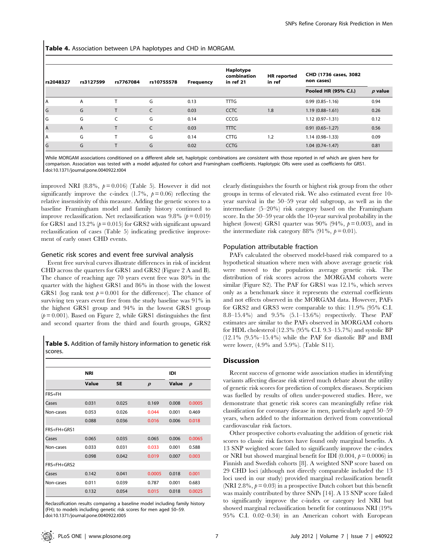Table 4. Association between LPA haplotypes and CHD in MORGAM.

| rs2048327 | rs3127599      | rs7767084 | rs10755578   | <b>Frequency</b> | Haplotype<br>combination<br>in ref 21 | <b>HR</b> reported<br>in ref | CHD (1736 cases, 3082<br>non cases) |           |
|-----------|----------------|-----------|--------------|------------------|---------------------------------------|------------------------------|-------------------------------------|-----------|
|           |                |           |              |                  |                                       |                              | Pooled HR (95% C.I.)                | $p$ value |
| ΙA        | $\overline{A}$ |           | G            | 0.13             | <b>TTTG</b>                           |                              | $0.99(0.85 - 1.16)$                 | 0.94      |
| l G       | G              | T         | $\mathsf{C}$ | 0.03             | <b>CCTC</b>                           | 1.8                          | $1.19(0.88 - 1.61)$                 | 0.26      |
| l G       | G              | C         | G            | 0.14             | CCCG                                  |                              | $1.12(0.97 - 1.31)$                 | 0.12      |
| l A       | $\overline{A}$ |           | $\mathsf{C}$ | 0.03             | <b>TTTC</b>                           |                              | $0.91(0.65 - 1.27)$                 | 0.56      |
| l A       | G              |           | G            | 0.14             | <b>CTTG</b>                           | 1.2                          | $1.14(0.98-1.33)$                   | 0.09      |
| l G       | G              | $\mathbf$ | G            | 0.02             | <b>CCTG</b>                           |                              | $1.04(0.74 - 1.47)$                 | 0.81      |

While MORGAM associations conditioned on a different allele set, haplotypic combinations are consistent with those reported in ref which are given here for comparison. Association was tested with a model adjusted for cohort and Framingham coefficients. Haplotypic ORs were used as coefficients for GRS1. doi:10.1371/journal.pone.0040922.t004

improved NRI  $(8.8\%, p=0.016)$  (Table 5). However it did not significantly improve the c-index  $(1.7\%, p=0.06)$  reflecting the relative insensitivity of this measure. Adding the genetic scores to a baseline Framingham model and family history continued to improve reclassification. Net reclassification was 9.8% ( $p = 0.019$ ) for GRS1 and 13.2%  $(p=0.015)$  for GRS2 with significant upward reclassification of cases (Table 5) indicating predictive improvement of early onset CHD events.

#### Genetic risk scores and event free survival analysis

Event free survival curves illustrate differences in risk of incident CHD across the quarters for GRS1 and GRS2 (Figure 2 A and B). The chance of reaching age 70 years event free was 80% in the quarter with the highest GRS1 and 86% in those with the lowest GRS1 (log rank test  $p = 0.001$  for the difference). The chance of surviving ten years event free from the study baseline was 91% in the highest GRS1 group and 94% in the lowest GRS1 group  $(p= 0.001)$ . Based on Figure 2, while GRS1 distinguishes the first and second quarter from the third and fourth groups, GRS2

Table 5. Addition of family history information to genetic risk scores.

|             | <b>NRI</b> |           |                  | IDI   |                  |
|-------------|------------|-----------|------------------|-------|------------------|
|             |            |           |                  |       |                  |
|             | Value      | <b>SE</b> | $\boldsymbol{p}$ | Value | $\boldsymbol{p}$ |
| FRS+FH      |            |           |                  |       |                  |
| Cases       | 0.031      | 0.025     | 0.169            | 0.008 | 0.0005           |
| Non-cases   | 0.053      | 0.026     | 0.044            | 0.001 | 0.469            |
|             | 0.088      | 0.036     | 0.016            | 0.006 | 0.018            |
| FRS+FH+GRS1 |            |           |                  |       |                  |
| Cases       | 0.065      | 0.035     | 0.065            | 0.006 | 0.0065           |
| Non-cases   | 0.033      | 0.031     | 0.033            | 0.001 | 0.588            |
|             | 0.098      | 0.042     | 0.019            | 0.007 | 0.003            |
| FRS+FH+GRS2 |            |           |                  |       |                  |
| Cases       | 0.142      | 0.041     | 0.0005           | 0.018 | 0.001            |
| Non-cases   | 0.011      | 0.039     | 0.787            | 0.001 | 0.683            |
|             | 0.132      | 0.054     | 0.015            | 0.018 | 0.0025           |

Reclassification results comparing a baseline model including family history (FH); to models including genetic risk scores for men aged 50–59. doi:10.1371/journal.pone.0040922.t005

clearly distinguishes the fourth or highest risk group from the other groups in terms of elevated risk. We also estimated event free 10 year survival in the 50–59 year old subgroup, as well as in the intermediate (5–20%) risk category based on the Framingham score. In the 50–59 year olds the 10-year survival probability in the highest (lowest) GRS1 quarter was 90% (94%,  $p = 0.003$ ), and in the intermediate risk category 88% (91%,  $p = 0.01$ ).

#### Population attributable fraction

PAFs calculated the observed model-based risk compared to a hypothetical situation where men with above average genetic risk were moved to the population average genetic risk. The distribution of risk scores across the MORGAM cohorts were similar (Figure S2). The PAF for GRS1 was 12.1%, which serves only as a benchmark since it represents the external coefficients and not effects observed in the MORGAM data. However, PAFs for GRS2 and GRS3 were comparable to this: 11.9% (95% C.I. 8.8–15.4%) and 9.5% (5.1–13.6%) respectively. These PAF estimates are similar to the PAFs observed in MORGAM cohorts for HDL cholesterol (12.3% (95% C.I. 9.3–15.7%) and systolic BP  $(12.1\%$   $(9.5\% - 15.4\%)$  while the PAF for diastolic BP and BMI were lower, (4.9% and 5.9%). (Table S11).

#### **Discussion**

Recent success of genome wide association studies in identifying variants affecting disease risk stirred much debate about the utility of genetic risk scores for prediction of complex diseases. Scepticism was fuelled by results of often under-powered studies. Here, we demonstrate that genetic risk scores can meaningfully refine risk classification for coronary disease in men, particularly aged 50–59 years, when added to the information derived from conventional cardiovascular risk factors.

Other prospective cohorts evaluating the addition of genetic risk scores to classic risk factors have found only marginal benefits. A 13 SNP weighted score failed to significantly improve the c-index or NRI but showed marginal benefit for IDI  $(0.004, p=0.0006)$  in Finnish and Swedish cohorts [8]. A weighted SNP score based on 29 CHD loci (although not directly comparable included the 13 loci used in our study) provided marginal reclassification benefit (NRI 2.8%,  $p = 0.03$ ) in a prospective Dutch cohort but this benefit was mainly contributed by three SNPs [14]. A 13 SNP score failed to significantly improve the c-index or category led NRI but showed marginal reclassification benefit for continuous NRI (19% 95% C.I. 0.02–0.34) in an American cohort with European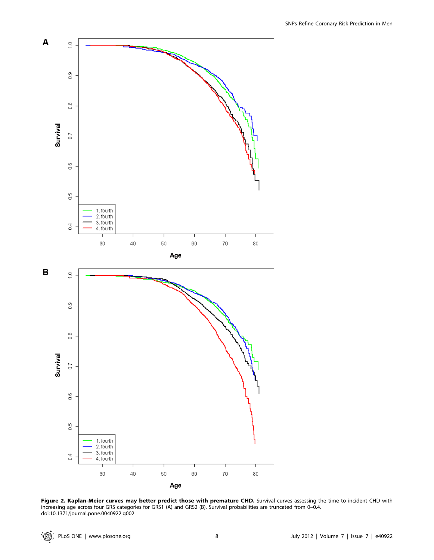

Figure 2. Kaplan-Meier curves may better predict those with premature CHD. Survival curves assessing the time to incident CHD with increasing age across four GRS categories for GRS1 (A) and GRS2 (B). Survival probabilities are truncated from 0–0.4. doi:10.1371/journal.pone.0040922.g002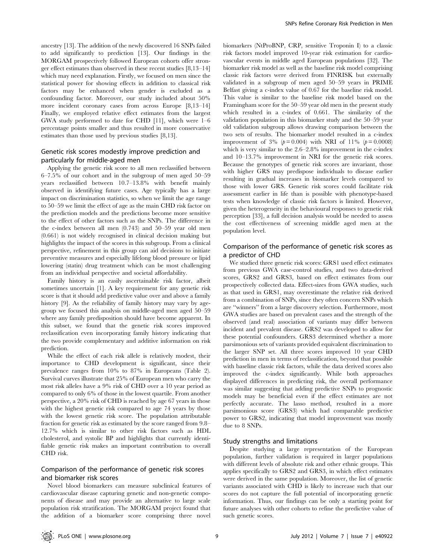ancestry [13]. The addition of the newly discovered 16 SNPs failed to add significantly to prediction [13]. Our findings in the MORGAM prospectively followed European cohorts offer stronger effect estimates than observed in these recent studies [8,13–14] which may need explanation. Firstly, we focused on men since the statistical power for showing effects in addition to classical risk factors may be enhanced when gender is excluded as a confounding factor. Moreover, our study included about 50% more incident coronary cases from across Europe [8,13–14] Finally, we employed relative effect estimates from the largest GWA study performed to date for CHD [11], which were 1–6 percentage points smaller and thus resulted in more conservative estimates than those used by previous studies [8,13].

# Genetic risk scores modestly improve prediction and particularly for middle-aged men

Applying the genetic risk score to all men reclassified between 6–7.5% of our cohort and in the subgroup of men aged 50–59 years reclassified between 10.7–13.8% with benefit mainly observed in identifying future cases. Age typically has a large impact on discrimination statistics, so when we limit the age range to 50–59 we limit the effect of age as the main CHD risk factor on the prediction models and the predictions become more sensitive to the effect of other factors such as the SNPs. The difference in the c-index between all men (0.743) and 50–59 year old men (0.661) is not widely recognised in clinical decision making but highlights the impact of the scores in this subgroup. From a clinical perspective, refinement in this group can aid decisions to initiate preventive measures and especially lifelong blood pressure or lipid lowering (statin) drug treatment which can be most challenging from an individual perspective and societal affordability.

Family history is an easily ascertainable risk factor, albeit sometimes uncertain [1]. A key requirement for any genetic risk score is that it should add predictive value over and above a family history [9]. As the reliability of family history may vary by agegroup we focused this analysis on middle-aged men aged 50–59 where any family predisposition should have become apparent. In this subset, we found that the genetic risk scores improved reclassification even incorporating family history indicating that the two provide complementary and additive information on risk prediction.

While the effect of each risk allele is relatively modest, their importance to CHD development is significant, since their prevalence ranges from 10% to 87% in Europeans (Table 2). Survival curves illustrate that 25% of European men who carry the most risk alleles have a 9% risk of CHD over a 10 year period as compared to only 6% of those in the lowest quartile. From another perspective, a 20% risk of CHD is reached by age 67 years in those with the highest genetic risk compared to age 74 years by those with the lowest genetic risk score. The population attributable fraction for genetic risk as estimated by the score ranged from 9.8– 12.7% which is similar to other risk factors such as HDL cholesterol, and systolic BP and highlights that currently identifiable genetic risk makes an important contribution to overall CHD risk.

# Comparison of the performance of genetic risk scores and biomarker risk scores

Novel blood biomarkers can measure subclinical features of cardiovascular disease capturing genetic and non-genetic components of disease and may provide an alternative to large scale population risk stratification. The MORGAM project found that the addition of a biomarker score comprising three novel

biomarkers (NtProBNP, CRP, sensitive Troponin I) to a classic risk factors model improved 10-year risk estimation for cardiovascular events in middle aged European populations [32]. The biomarker risk model as well as the baseline risk model comprising classic risk factors were derived from FINRISK but externally validated in a subgroup of men aged 50–59 years in PRIME Belfast giving a c-index value of 0.67 for the baseline risk model. This value is similar to the baseline risk model based on the Framingham score for the 50–59 year old men in the present study which resulted in a c-index of 0.661. The similarity of the validation population in this biomarker study and the 50–59 year old validation subgroup allows drawing comparison between the two sets of results. The biomarker model resulted in a c-index improvement of 3% ( $p = 0.004$ ) with NRI of 11% ( $p = 0.0008$ ) which is very similar to the 2.6–2.8% improvement in the c-index and 10–13.7% improvement in NRI for the genetic risk scores. Because the genotypes of genetic risk scores are invariant, those with higher GRS may predispose individuals to disease earlier resulting in gradual increases in biomarker levels compared to those with lower GRS. Genetic risk scores could facilitate risk assessment earlier in life than is possible with phenotype-based tests when knowledge of classic risk factors is limited. However, given the heterogeneity in the behavioural responses to genetic risk perception [33], a full decision analysis would be needed to assess the cost effectiveness of screening middle aged men at the population level.

# Comparison of the performance of genetic risk scores as a predictor of CHD

We studied three genetic risk scores: GRS1 used effect estimates from previous GWA case-control studies, and two data-derived scores, GRS2 and GRS3, based on effect estimates from our prospectively collected data. Effect-sizes from GWA studies, such as that used in GRS1, may overestimate the relative risk derived from a combination of SNPs, since they often concern SNPs which are ''winners'' from a large discovery selection. Furthermore, most GWA studies are based on prevalent cases and the strength of the observed (and real) association of variants may differ between incident and prevalent disease. GRS2 was developed to allow for these potential confounders. GRS3 determined whether a more parsimonious sets of variants provided equivalent discrimination to the larger SNP set. All three scores improved 10 year CHD prediction in men in terms of reclassification, beyond that possible with baseline classic risk factors, while the data derived scores also improved the c-index significantly. While both approaches displayed differences in predicting risk, the overall performance was similar suggesting that adding predictive SNPs to prognostic models may be beneficial even if the effect estimates are not perfectly accurate. The lasso method, resulted in a more parsimonious score (GRS3) which had comparable predictive power to GRS2, indicating that model improvement was mostly due to 8 SNPs.

#### Study strengths and limitations

Despite studying a large representation of the European population, further validation is required in larger populations with different levels of absolute risk and other ethnic groups. This applies specifically to GRS2 and GRS3, in which effect estimates were derived in the same population. Moreover, the list of genetic variants associated with CHD is likely to increase such that our scores do not capture the full potential of incorporating genetic information. Thus, our findings can be only a starting point for future analyses with other cohorts to refine the predictive value of such genetic scores.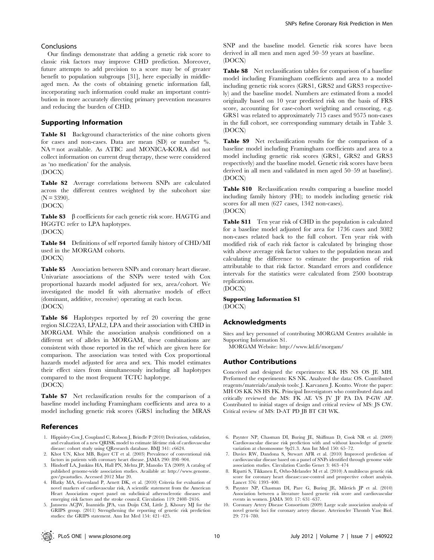## Conclusions

Our findings demonstrate that adding a genetic risk score to classic risk factors may improve CHD prediction. Moreover, future attempts to add precision to a score may be of greater benefit to population subgroups [31], here especially in middleaged men. As the costs of obtaining genetic information fall, incorporating such information could make an important contribution in more accurately directing primary prevention measures and reducing the burden of CHD.

## Supporting Information

Table S1 Background characteristics of the nine cohorts given for cases and non-cases. Data are mean (SD) or number %. NA = not available. As ATBC and MONICA-KORA did not collect information on current drug therapy, these were considered as 'no medication' for the analysis.

(DOCX)

Table S2 Average correlations between SNPs are calculated across the different centres weighted by the subcohort size  $(N = 3390)$ .

(DOCX)

Table S3  $\beta$  coefficients for each genetic risk score. HAGTG and HGGTC refer to LPA haplotypes.

(DOCX)

Table S4 Definitions of self reported family history of CHD/MI used in the MORGAM cohorts.

(DOCX)

Table S5 Association between SNPs and coronary heart disease. Univariate associations of the SNPs were tested with Cox proportional hazards model adjusted for sex, area/cohort. We investigated the model fit with alternative models of effect (dominant, additive, recessive) operating at each locus. (DOCX)

Table S6 Haplotypes reported by ref 20 covering the gene region SLC22A3, LPAL2, LPA and their association with CHD in MORGAM. While the association analysis conditioned on a different set of alleles in MORGAM, these combinations are consistent with those reported in the ref which are given here for comparison. The association was tested with Cox proportional hazards model adjusted for area and sex. This model estimates their effect sizes from simultaneously including all haplotypes compared to the most frequent TCTC haplotype. (DOCX)

Table S7 Net reclassification results for the comparison of a baseline model including Framingham coefficients and area to a model including genetic risk scores (GRS1 including the MRAS

### References

- 1. Hippisley-Cox J, Coupland C, Robson J, Brindle P (2010) Derivation, validation, and evaluation of a new QRISK model to estimate lifetime risk of cardiovascular disease: cohort study using QResearch database. BMJ 341: c6624.
- 2. Khot UN, Khot MB, Bajzer CT et al. (2003) Prevalence of conventional risk factors in patients with coronary heart disease. JAMA 290: 898–904. 3. Hindorff LA, Junkins HA, Hall PN, Mehta JP, Manolio TA (2009) A catalog of
- published genome-wide association studies. Available at: http://www.genome. gov/gwastudies. Accessed 2012 Mar 20.
- 4. Hlatky MA, Greenland P, Arnett DK, et al. (2010) Criteria for evaluation of novel markers of cardiovascular risk, A scientific statement from the American Heart Association expert panel on subclinical atherosclerotic diseases and emerging risk factors and the stroke council. Circulation 119: 2408–2416.
- 5. Janssens ACJW, Ioannidis JPA, van Duijn CM, Little J, Khoury MJ for the GRIPS group. (2011) Strengthening the reporting of genetic risk prediction studies: the GRIPS statement. Ann Int Med 154: 421–425.

SNP and the baseline model. Genetic risk scores have been derived in all men and men aged 50–59 years at baseline. (DOCX)

Table S8 Net reclassification tables for comparison of a baseline model including Framingham coefficients and area to a model including genetic risk scores (GRS1, GRS2 and GRS3 respectively) and the baseline model. Numbers are estimated from a model originally based on 10 year predicted risk on the basis of FRS score, accounting for case-cohort weighting and censoring, e.g. GRS1 was related to approximately 715 cases and 9575 non-cases in the full cohort, see corresponding summary details in Table 3. (DOCX)

Table S9 Net reclassification results for the comparison of a baseline model including Framingham coefficients and area to a model including genetic risk scores (GRS1, GRS2 and GRS3 respectively) and the baseline model. Genetic risk scores have been derived in all men and validated in men aged 50–59 at baseline). (DOCX)

Table S10 Reclassification results comparing a baseline model including family history (FH); to models including genetic risk scores for all men (627 cases, 1342 non-cases). (DOCX)

Table S11 Ten year risk of CHD in the population is calculated for a baseline model adjusted for area for 1736 cases and 3082 non-cases related back to the full cohort. Ten year risk with modified risk of each risk factor is calculated by bringing those with above average risk factor values to the population mean and calculating the difference to estimate the proportion of risk attributable to that risk factor. Standard errors and confidence intervals for the statistics were calculated from 2500 bootstrap replications.

(DOCX)

# Supporting Information S1

(DOCX)

### Acknowledgments

Sites and key personnel of contributing MORGAM Centres available in Supporting Information S1.

MORGAM Website: http://www.ktl.fi/morgam/

## Author Contributions

Conceived and designed the experiments: KK HS NS OS JE MH. Performed the experiments: KS NK. Analyzed the data: OS. Contributed reagents/materials/analysis tools: J. Karvanen J. Kontto. Wrote the paper: MH OS KK NS HS FK. Principal Investigators who contributed data and critically reviewed the MS: FK AE VS JV JF PA DA P-GW AP. Contributed to initial stages of design and critical review of MS: JS CW. Critical review of MS: D-AT PD JB BT CH WK.

- 6. Paynter NP, Chasman DI, Buring JE, Shiffman D, Cook NR et al. (2009) Cardiovascular disease risk prediction with and without knowledge of genetic variation at chromosome 9p21.3. Ann Int Med 150: 65–72.
- 7. Davies RW, Dandona S, Stewart AFR et al. (2010) Improved prediction of cardiovascular disease based on a panel of SNPs identified through genome wide association studies. Circulation Cardio Genet 3: 463–474
- 8. Ripatti S, Tikkanen E, Orho-Melander M et al. (2010) A multilocus genetic risk score for coronary heart disease:case-control and prospective cohort analysis. Lancet 376: 1393–400.
- 9. Paynter NP, Chasman DI, Pare G, Buring JE, Miletich JP et al. (2010) Association between a literature based genetic risk score and cardiovascular events in women. JAMA 303: 17: 631–637.
- 10. Coronary Artery Disease Consortium (2009) Large scale association analysis of novel genetic loci for coronary artery disease. Arterioscler Thromb Vasc Biol. 29: 774–780.